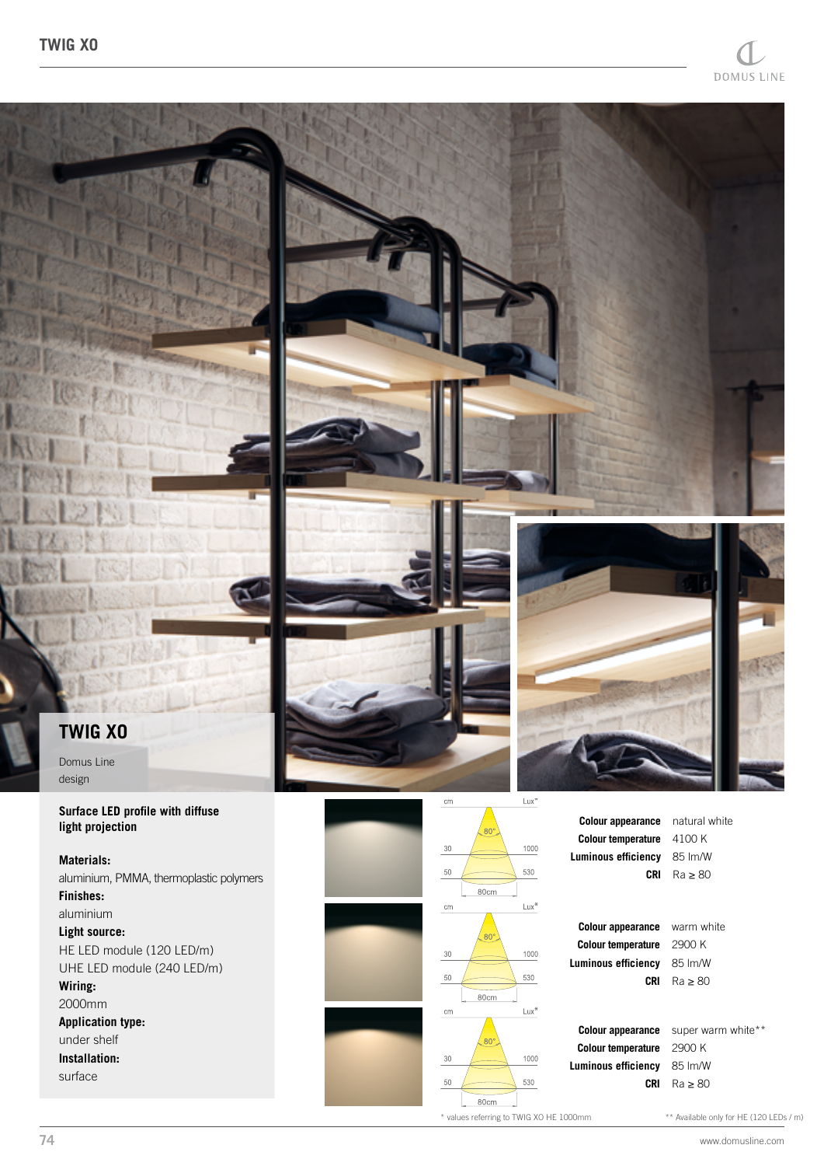

**Light source:**

HE LED module (120 LED/m) UHE LED module (240 LED/m) **Wiring:** 2000mm **Application type:** under shelf **Installation:** surface

**Colour appearance Colour temperature** 1000  $30\,$ **Luminous efficiency** 530  $50\,$  $80<sub>cr</sub>$ Lux<sup>\*</sup> cm **Colour appearance Colour temperature** 1000  $30$ **Luminous efficiency**  $50$ 530

warm white 2900 K 85 lm/W

super warm white\*\* 2900 K 85 lm/W

**CRI** Ra ≥ 80

**CRI** Ra ≥ 80

\* values referring to TWIG XO HE 1000mm